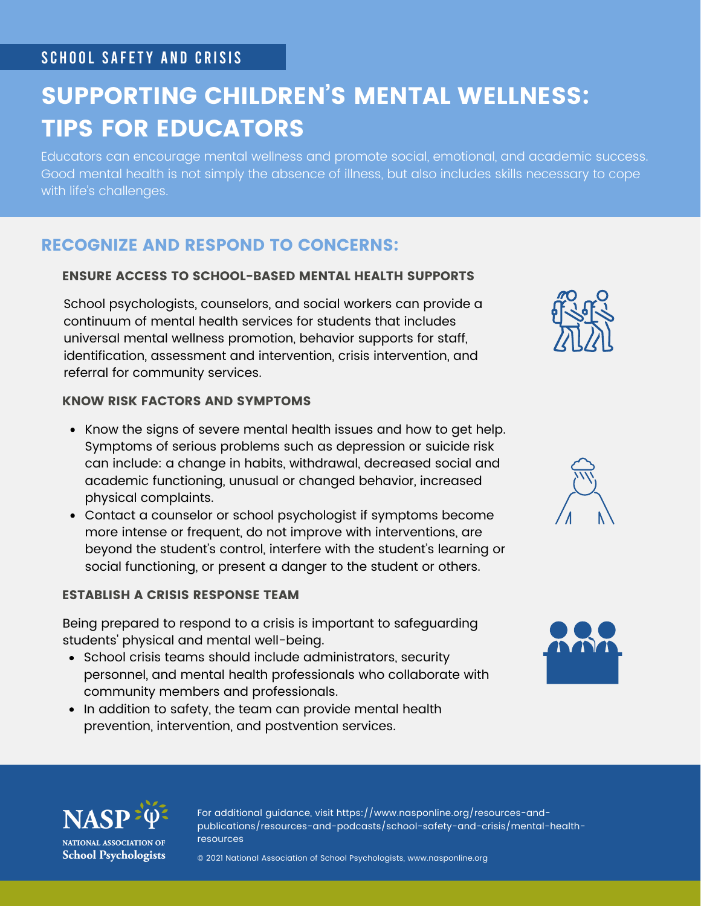# SCHOOL SAFETY AND CRISIS

# SUPPORTING CHILDREN'S MENTAL WELLNESS: TIPS FOR EDUCATORS

Educators can encourage mental wellness and promote social, emotional, and academic success. Good mental health is not simply the absence of illness, but also includes skills necessary to cope with life's challenges.

# RECOGNIZE AND RESPOND TO CONCERNS:

#### ENSURE ACCESS TO SCHOOL-BASED MENTAL HEALTH SUPPORTS

School psychologists, counselors, and social workers can provide a continuum of mental health services for students that includes universal mental wellness promotion, behavior supports for staff, identification, assessment and intervention, crisis intervention, and referral for community services.

#### KNOW RISK FACTORS AND SYMPTOMS

- Know the signs of severe mental health issues and how to get help. Symptoms of serious problems such as depression or suicide risk can include: a change in habits, withdrawal, decreased social and academic functioning, unusual or changed behavior, increased physical complaints.
- Contact a counselor or school psychologist if symptoms become more intense or frequent, do not improve with interventions, are beyond the student's control, interfere with the student's learning or social functioning, or present a danger to the student or others.

#### ESTABLISH A CRISIS RESPONSE TEAM

Being prepared to respond to a crisis is important to safeguarding students' physical and mental well-being.

- School crisis teams should include administrators, security personnel, and mental health professionals who collaborate with community members and professionals.
- In addition to safety, the team can provide mental health prevention, intervention, and postvention services.









NATIONAL ASSOCIATION OF **School Psychologists**  For additional guidance, visit https://www.nasponline.org/resources-andpublications/resources-and-podcasts/school-safety-and-crisis/mental-healthresources